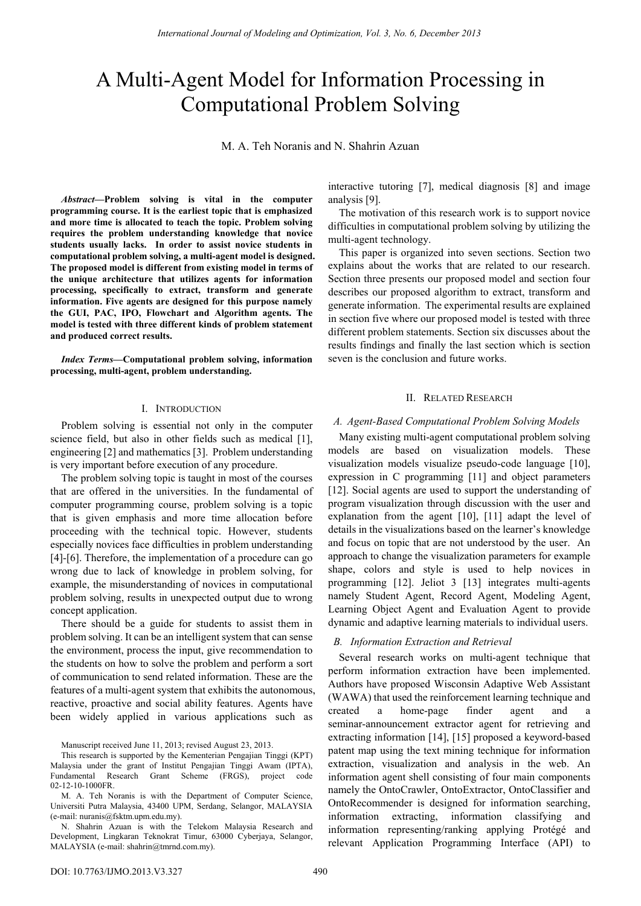# A Multi-Agent Model for Information Processing in Computational Problem Solving

M. A. Teh Noranis and N. Shahrin Azuan

*Abstract***—Problem solving is vital in the computer programming course. It is the earliest topic that is emphasized and more time is allocated to teach the topic. Problem solving requires the problem understanding knowledge that novice students usually lacks. In order to assist novice students in computational problem solving, a multi-agent model is designed. The proposed model is different from existing model in terms of the unique architecture that utilizes agents for information processing, specifically to extract, transform and generate information. Five agents are designed for this purpose namely the GUI, PAC, IPO, Flowchart and Algorithm agents. The model is tested with three different kinds of problem statement and produced correct results.** 

*Index Terms***—Computational problem solving, information processing, multi-agent, problem understanding.** 

#### I. INTRODUCTION

Problem solving is essential not only in the computer science field, but also in other fields such as medical [1], engineering [2] and mathematics [3]. Problem understanding is very important before execution of any procedure.

The problem solving topic is taught in most of the courses that are offered in the universities. In the fundamental of computer programming course, problem solving is a topic that is given emphasis and more time allocation before proceeding with the technical topic. However, students especially novices face difficulties in problem understanding [4]-[6]. Therefore, the implementation of a procedure can go wrong due to lack of knowledge in problem solving, for example, the misunderstanding of novices in computational problem solving, results in unexpected output due to wrong concept application.

There should be a guide for students to assist them in problem solving. It can be an intelligent system that can sense the environment, process the input, give recommendation to the students on how to solve the problem and perform a sort of communication to send related information. These are the features of a multi-agent system that exhibits the autonomous, reactive, proactive and social ability features. Agents have been widely applied in various applications such as

Manuscript received June 11, 2013; revised August 23, 2013.

M. A. Teh Noranis is with the Department of Computer Science, Universiti Putra Malaysia, 43400 UPM, Serdang, Selangor, MALAYSIA (e-mail: nuranis@fsktm.upm.edu.my).

N. Shahrin Azuan is with the Telekom Malaysia Research and Development, Lingkaran Teknokrat Timur, 63000 Cyberjaya, Selangor, MALAYSIA (e-mail: shahrin@tmrnd.com.my).

interactive tutoring [7], medical diagnosis [8] and image analysis [9].

The motivation of this research work is to support novice difficulties in computational problem solving by utilizing the multi-agent technology.

This paper is organized into seven sections. Section two explains about the works that are related to our research. Section three presents our proposed model and section four describes our proposed algorithm to extract, transform and generate information. The experimental results are explained in section five where our proposed model is tested with three different problem statements. Section six discusses about the results findings and finally the last section which is section seven is the conclusion and future works.

## II. RELATED RESEARCH

#### *A. Agent-Based Computational Problem Solving Models*

Many existing multi-agent computational problem solving models are based on visualization models. These visualization models visualize pseudo-code language [10], expression in C programming [11] and object parameters [12]. Social agents are used to support the understanding of program visualization through discussion with the user and explanation from the agent [10], [11] adapt the level of details in the visualizations based on the learner's knowledge and focus on topic that are not understood by the user. An approach to change the visualization parameters for example shape, colors and style is used to help novices in programming [12]. Jeliot 3 [13] integrates multi-agents namely Student Agent, Record Agent, Modeling Agent, Learning Object Agent and Evaluation Agent to provide dynamic and adaptive learning materials to individual users.

#### *B. Information Extraction and Retrieval*

Several research works on multi-agent technique that perform information extraction have been implemented. Authors have proposed Wisconsin Adaptive Web Assistant (WAWA) that used the reinforcement learning technique and created a home-page finder agent and a seminar-announcement extractor agent for retrieving and extracting information [14], [15] proposed a keyword-based patent map using the text mining technique for information extraction, visualization and analysis in the web. An information agent shell consisting of four main components namely the OntoCrawler, OntoExtractor, OntoClassifier and OntoRecommender is designed for information searching, information extracting, information classifying and information representing/ranking applying Protégé and relevant Application Programming Interface (API) to

This research is supported by the Kementerian Pengajian Tinggi (KPT) Malaysia under the grant of Institut Pengajian Tinggi Awam (IPTA), Fundamental Research Grant Scheme (FRGS), project code 02-12-10-1000FR.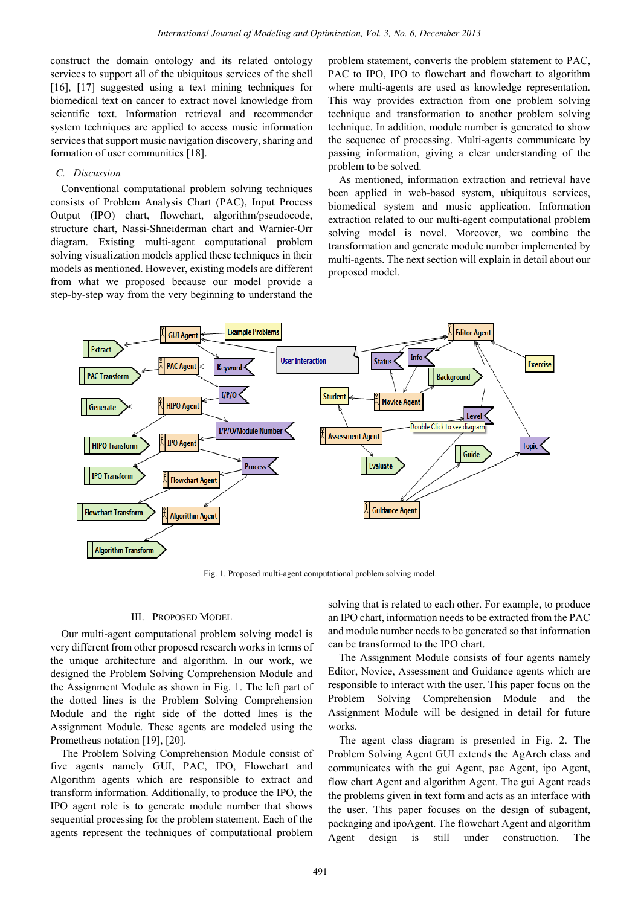construct the domain ontology and its related ontology services to support all of the ubiquitous services of the shell [16], [17] suggested using a text mining techniques for biomedical text on cancer to extract novel knowledge from scientific text. Information retrieval and recommender system techniques are applied to access music information services that support music navigation discovery, sharing and formation of user communities [18].

#### *C. Discussion*

Conventional computational problem solving techniques consists of Problem Analysis Chart (PAC), Input Process Output (IPO) chart, flowchart, algorithm/pseudocode, structure chart, Nassi-Shneiderman chart and Warnier-Orr diagram. Existing multi-agent computational problem solving visualization models applied these techniques in their models as mentioned. However, existing models are different from what we proposed because our model provide a step-by-step way from the very beginning to understand the problem statement, converts the problem statement to PAC, PAC to IPO, IPO to flowchart and flowchart to algorithm where multi-agents are used as knowledge representation. This way provides extraction from one problem solving technique and transformation to another problem solving technique. In addition, module number is generated to show the sequence of processing. Multi-agents communicate by passing information, giving a clear understanding of the problem to be solved.

As mentioned, information extraction and retrieval have been applied in web-based system, ubiquitous services, biomedical system and music application. Information extraction related to our multi-agent computational problem solving model is novel. Moreover, we combine the transformation and generate module number implemented by multi-agents. The next section will explain in detail about our proposed model.



Fig. 1. Proposed multi-agent computational problem solving model.

#### III. PROPOSED MODEL

Our multi-agent computational problem solving model is very different from other proposed research works in terms of the unique architecture and algorithm. In our work, we designed the Problem Solving Comprehension Module and the Assignment Module as shown in Fig. 1. The left part of the dotted lines is the Problem Solving Comprehension Module and the right side of the dotted lines is the Assignment Module. These agents are modeled using the Prometheus notation [19], [20].

The Problem Solving Comprehension Module consist of five agents namely GUI, PAC, IPO, Flowchart and Algorithm agents which are responsible to extract and transform information. Additionally, to produce the IPO, the IPO agent role is to generate module number that shows sequential processing for the problem statement. Each of the agents represent the techniques of computational problem solving that is related to each other. For example, to produce an IPO chart, information needs to be extracted from the PAC and module number needs to be generated so that information can be transformed to the IPO chart.

The Assignment Module consists of four agents namely Editor, Novice, Assessment and Guidance agents which are responsible to interact with the user. This paper focus on the Problem Solving Comprehension Module and the Assignment Module will be designed in detail for future works.

The agent class diagram is presented in Fig. 2. The Problem Solving Agent GUI extends the AgArch class and communicates with the gui Agent, pac Agent, ipo Agent, flow chart Agent and algorithm Agent. The gui Agent reads the problems given in text form and acts as an interface with the user. This paper focuses on the design of subagent, packaging and ipoAgent. The flowchart Agent and algorithm Agent design is still under construction. The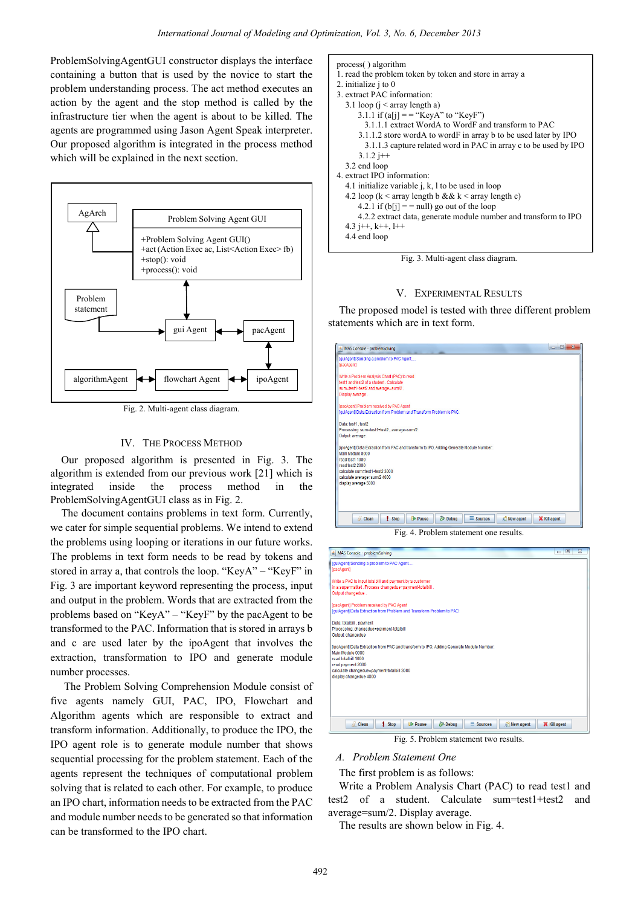process( ) algorithm

2. initialize j to 0 3. extract PAC information:

ProblemSolvingAgentGUI constructor displays the interface containing a button that is used by the novice to start the problem understanding process. The act method executes an action by the agent and the stop method is called by the infrastructure tier when the agent is about to be killed. The agents are programmed using Jason Agent Speak interpreter. Our proposed algorithm is integrated in the process method which will be explained in the next section.



Fig. 2. Multi-agent class diagram.

#### IV. THE PROCESS METHOD

Our proposed algorithm is presented in Fig. 3. The algorithm is extended from our previous work [21] which is integrated inside the process method in the ProblemSolvingAgentGUI class as in Fig. 2.

The document contains problems in text form. Currently, we cater for simple sequential problems. We intend to extend the problems using looping or iterations in our future works. The problems in text form needs to be read by tokens and stored in array a, that controls the loop. "KeyA" – "KeyF" in Fig. 3 are important keyword representing the process, input and output in the problem. Words that are extracted from the problems based on "KeyA" – "KeyF" by the pacAgent to be transformed to the PAC. Information that is stored in arrays b and c are used later by the ipoAgent that involves the extraction, transformation to IPO and generate module number processes.

 The Problem Solving Comprehension Module consist of five agents namely GUI, PAC, IPO, Flowchart and Algorithm agents which are responsible to extract and transform information. Additionally, to produce the IPO, the IPO agent role is to generate module number that shows sequential processing for the problem statement. Each of the agents represent the techniques of computational problem solving that is related to each other. For example, to produce an IPO chart, information needs to be extracted from the PAC and module number needs to be generated so that information can be transformed to the IPO chart.



1. read the problem token by token and store in array a

Fig. 3. Multi-agent class diagram.

## V. EXPERIMENTAL RESULTS

The proposed model is tested with three different problem statements which are in text form.

| & MAS Console - problemSolving                                                                       | $\mathbf{x}$<br>$\Box$ |
|------------------------------------------------------------------------------------------------------|------------------------|
| [quiAgent] Sending a problem to PAC Agent                                                            |                        |
| [pacAgent]                                                                                           |                        |
| Write a Problem Analysis Chart (PAC) to read                                                         |                        |
| test1 and test2 of a student. Calculate                                                              |                        |
| sum=test1+test2 and average=sum/2.                                                                   |                        |
| Display average.                                                                                     |                        |
| <b>IpacAgentI Problem received by PAC Agent</b>                                                      |                        |
| [quiAgent] Data Extraction from Problem and Transform Problem to PAC:                                |                        |
| Data: test1 . test2                                                                                  |                        |
| Processing: sum=test1+test2, average=sum/2                                                           |                        |
| Output: average                                                                                      |                        |
| lipoAgenti Data Extraction from PAC and transform to IPO, Adding Generate Module Number:             |                        |
| Main Module 0000                                                                                     |                        |
| read test1 1000                                                                                      |                        |
| read test2 2000                                                                                      |                        |
| calculate sum=test1+test2.3000                                                                       |                        |
| calculate average=sum/2 4000                                                                         |                        |
| display average 5000                                                                                 |                        |
|                                                                                                      |                        |
|                                                                                                      |                        |
|                                                                                                      |                        |
|                                                                                                      |                        |
|                                                                                                      |                        |
| 参 Debug<br>$\equiv$ Sources<br>$\sqrt{a}$ Clean<br>! Stop<br><b>Ref</b> New agent<br><b>ID</b> Pause | <b>X</b> Kill agent    |

Fig. 4. Problem statement one results.



*A. Problem Statement One* 

The first problem is as follows:

Write a Problem Analysis Chart (PAC) to read test1 and test2 of a student. Calculate sum=test1+test2 and average=sum/2. Display average.

The results are shown below in Fig. 4.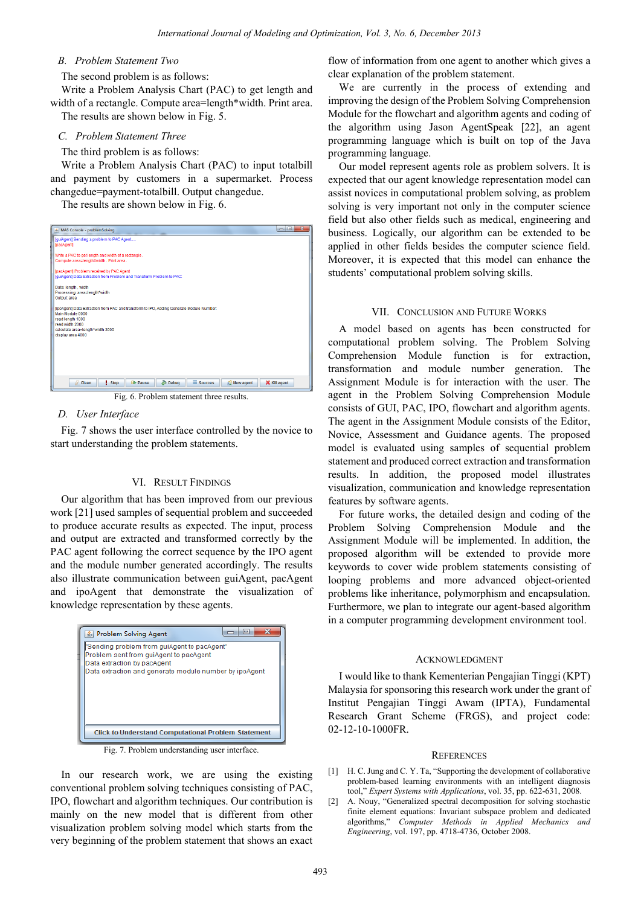## *B. Problem Statement Two*

The second problem is as follows:

Write a Problem Analysis Chart (PAC) to get length and width of a rectangle. Compute area=length\*width. Print area. The results are shown below in Fig. 5.

#### *C. Problem Statement Three*

#### The third problem is as follows:

Write a Problem Analysis Chart (PAC) to input totalbill and payment by customers in a supermarket. Process changedue=payment-totalbill. Output changedue.

The results are shown below in Fig. 6.

| $\overline{\mathbf{x}}$<br>MAS Console - problemSolving                                                                                             |  |  |
|-----------------------------------------------------------------------------------------------------------------------------------------------------|--|--|
| [guiAgent] Sending a problem to PAC Agent<br><b>IpacAgentl</b>                                                                                      |  |  |
| Write a PAC to get length and width of a rectangle.<br>Compute area=lengthXwidth . Print area.                                                      |  |  |
| [pacAgent] Problem received by PAC Agent<br><b>IquiAgentI Data Extraction from Problem and Transform Problem to PAC:</b>                            |  |  |
| Data: length, width<br>Processing: area=length*width<br>Output: area                                                                                |  |  |
| lipoAgenti Data Extraction from PAC and transform to IPO, Adding Generate Module Number;<br>Main Module 0000<br>read length 1000<br>read width 2000 |  |  |
| calculate area=length*width 3000<br>display area 4000                                                                                               |  |  |
|                                                                                                                                                     |  |  |
| 莎 Debug<br>$\equiv$ Sources<br><b>Z</b> Clean<br>! Stop<br><b>RE</b> New agent<br><b>DPause</b><br><b>X</b> Kill agent                              |  |  |
|                                                                                                                                                     |  |  |
| Fig. 6. Problem statement three results.                                                                                                            |  |  |

## *D. User Interface*

Fig. 7 shows the user interface controlled by the novice to start understanding the problem statements.

#### VI. RESULT FINDINGS

Our algorithm that has been improved from our previous work [21] used samples of sequential problem and succeeded to produce accurate results as expected. The input, process and output are extracted and transformed correctly by the PAC agent following the correct sequence by the IPO agent and the module number generated accordingly. The results also illustrate communication between guiAgent, pacAgent and ipoAgent that demonstrate the visualization of knowledge representation by these agents.



Fig. 7. Problem understanding user interface.

In our research work, we are using the existing conventional problem solving techniques consisting of PAC, IPO, flowchart and algorithm techniques. Our contribution is mainly on the new model that is different from other visualization problem solving model which starts from the very beginning of the problem statement that shows an exact

flow of information from one agent to another which gives a clear explanation of the problem statement.

We are currently in the process of extending and improving the design of the Problem Solving Comprehension Module for the flowchart and algorithm agents and coding of the algorithm using Jason AgentSpeak [22], an agent programming language which is built on top of the Java programming language.

Our model represent agents role as problem solvers. It is expected that our agent knowledge representation model can assist novices in computational problem solving, as problem solving is very important not only in the computer science field but also other fields such as medical, engineering and business. Logically, our algorithm can be extended to be applied in other fields besides the computer science field. Moreover, it is expected that this model can enhance the students' computational problem solving skills.

#### VII. CONCLUSION AND FUTURE WORKS

A model based on agents has been constructed for computational problem solving. The Problem Solving Comprehension Module function is for extraction, transformation and module number generation. The Assignment Module is for interaction with the user. The agent in the Problem Solving Comprehension Module consists of GUI, PAC, IPO, flowchart and algorithm agents. The agent in the Assignment Module consists of the Editor, Novice, Assessment and Guidance agents. The proposed model is evaluated using samples of sequential problem statement and produced correct extraction and transformation results. In addition, the proposed model illustrates visualization, communication and knowledge representation features by software agents.

For future works, the detailed design and coding of the Problem Solving Comprehension Module and the Assignment Module will be implemented. In addition, the proposed algorithm will be extended to provide more keywords to cover wide problem statements consisting of looping problems and more advanced object-oriented problems like inheritance, polymorphism and encapsulation. Furthermore, we plan to integrate our agent-based algorithm in a computer programming development environment tool.

#### ACKNOWLEDGMENT

I would like to thank Kementerian Pengajian Tinggi (KPT) Malaysia for sponsoring this research work under the grant of Institut Pengajian Tinggi Awam (IPTA), Fundamental Research Grant Scheme (FRGS), and project code: 02-12-10-1000FR.

#### **REFERENCES**

- [1] H. C. Jung and C. Y. Ta, "Supporting the development of collaborative problem-based learning environments with an intelligent diagnosis tool," *Expert Systems with Applications*, vol. 35, pp. 622-631, 2008.
- [2] A. Nouy, "Generalized spectral decomposition for solving stochastic finite element equations: Invariant subspace problem and dedicated algorithms," *Computer Methods in Applied Mechanics and Engineering*, vol. 197, pp. 4718-4736, October 2008.